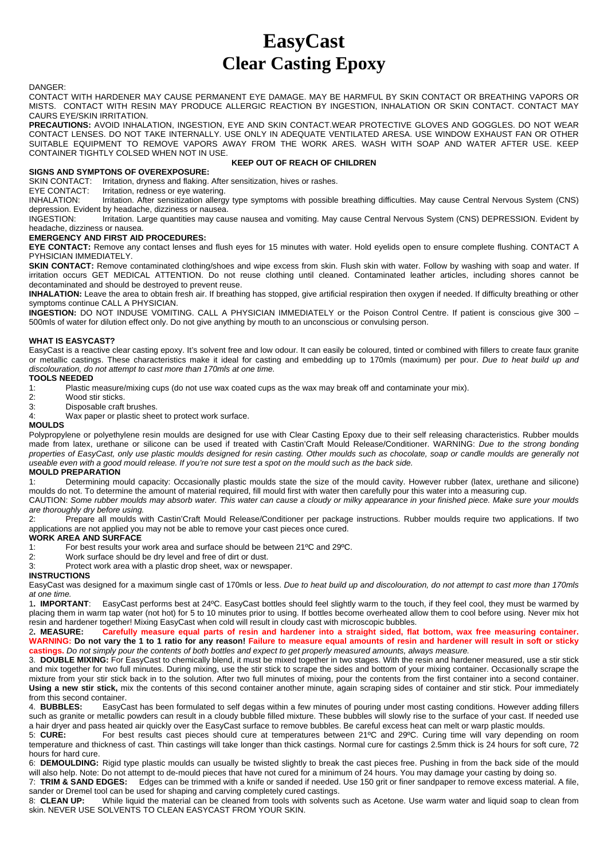# **EasyCast Clear Casting Epoxy**

#### DANGER:

CONTACT WITH HARDENER MAY CAUSE PERMANENT EYE DAMAGE. MAY BE HARMFUL BY SKIN CONTACT OR BREATHING VAPORS OR MISTS. CONTACT WITH RESIN MAY PRODUCE ALLERGIC REACTION BY INGESTION, INHALATION OR SKIN CONTACT. CONTACT MAY CAURS EYE/SKIN IRRITATION.

**PRECAUTIONS:** AVOID INHALATION, INGESTION, EYE AND SKIN CONTACT.WEAR PROTECTIVE GLOVES AND GOGGLES. DO NOT WEAR CONTACT LENSES. DO NOT TAKE INTERNALLY. USE ONLY IN ADEQUATE VENTILATED ARESA. USE WINDOW EXHAUST FAN OR OTHER SUITABLE EQUIPMENT TO REMOVE VAPORS AWAY FROM THE WORK ARES. WASH WITH SOAP AND WATER AFTER USE. KEEP CONTAINER TIGHTLY COLSED WHEN NOT IN USE.

## **KEEP OUT OF REACH OF CHILDREN**

## **SIGNS AND SYMPTONS OF OVEREXPOSURE:**<br>SKIN CONTACT: Irritation, dryness and flaking.

SKIN CONTACT: Irritation, dryness and flaking. After sensitization, hives or rashes.<br>EYE CONTACT: Irritation, redness or eve watering.

EYE CONTACT: Irritation, redness or eye watering.<br>INHALATION: Irritation. After sensitization allergy

Irritation. After sensitization allergy type symptoms with possible breathing difficulties. May cause Central Nervous System (CNS) depression. Evident by headache, dizziness or nausea.<br>INGESTION: Irritation. Large quantities may cau

Irritation. Large quantities may cause nausea and vomiting. May cause Central Nervous System (CNS) DEPRESSION. Evident by headache, dizziness or nausea.

## **EMERGENCY AND FIRST AID PROCEDURES:**

**EYE CONTACT:** Remove any contact lenses and flush eyes for 15 minutes with water. Hold eyelids open to ensure complete flushing. CONTACT A PYHSICIAN IMMEDIATELY.

**SKIN CONTACT:** Remove contaminated clothing/shoes and wipe excess from skin. Flush skin with water. Follow by washing with soap and water. If irritation occurs GET MEDICAL ATTENTION. Do not reuse clothing until cleaned. Contaminated leather articles, including shores cannot be decontaminated and should be destroyed to prevent reuse.

**INHALATION:** Leave the area to obtain fresh air. If breathing has stopped, give artificial respiration then oxygen if needed. If difficulty breathing or other symptoms continue CALL A PHYSICIAN.

**INGESTION:** DO NOT INDUSE VOMITING. CALL A PHYSICIAN IMMEDIATELY or the Poison Control Centre. If patient is conscious give 300 – 500mls of water for dilution effect only. Do not give anything by mouth to an unconscious or convulsing person.

## **WHAT IS EASYCAST?**

EasyCast is a reactive clear casting epoxy. It's solvent free and low odour. It can easily be coloured, tinted or combined with fillers to create faux granite or metallic castings. These characteristics make it ideal for casting and embedding up to 170mls (maximum) per pour. *Due to heat build up and discolouration, do not attempt to cast more than 170mls at one time.*

## **TOOLS NEEDED**

1: Plastic measure/mixing cups (do not use wax coated cups as the wax may break off and contaminate your mix).

- 2: Wood stir sticks.<br>3: Disposable craft
- Disposable craft brushes.
- 4: Wax paper or plastic sheet to protect work surface.

## **MOULDS**

Polypropylene or polyethylene resin moulds are designed for use with Clear Casting Epoxy due to their self releasing characteristics. Rubber moulds made from latex, urethane or silicone can be used if treated with Castin'Craft Mould Release/Conditioner. WARNING: *Due to the strong bonding properties of EasyCast, only use plastic moulds designed for resin casting. Other moulds such as chocolate, soap or candle moulds are generally not useable even with a good mould release. If you're not sure test a spot on the mould such as the back side.*

#### **MOULD PREPARATION**

1: Determining mould capacity: Occasionally plastic moulds state the size of the mould cavity. However rubber (latex, urethane and silicone) moulds do not. To determine the amount of material required, fill mould first with water then carefully pour this water into a measuring cup.

CAUTION: *Some rubber moulds may absorb water. This water can cause a cloudy or milky appearance in your finished piece. Make sure your moulds are thoroughly dry before using.*

Prepare all moulds with Castin'Craft Mould Release/Conditioner per package instructions. Rubber moulds require two applications. If two applications are not applied you may not be able to remove your cast pieces once cured.

## **WORK AREA AND SURFACE**

- 1: For best results your work area and surface should be between 21ºC and 29ºC.
- 2: Work surface should be dry level and free of dirt or dust.<br>3: Protect work area with a plastic drop sheet wax or news
- Protect work area with a plastic drop sheet, wax or newspaper.

## **INSTRUCTIONS**

EasyCast was designed for a maximum single cast of 170mls or less. *Due to heat build up and discolouration, do not attempt to cast more than 170mls at one time.*

EasyCast performs best at 24°C. EasyCast bottles should feel slightly warm to the touch, if they feel cool, they must be warmed by placing them in warm tap water (not hot) for 5 to 10 minutes prior to using. If bottles become overheated allow them to cool before using. Never mix hot resin and hardener together! Mixing EasyCast when cold will result in cloudy cast with microscopic bubbles.<br>2. MEASURE: Carefully measure equal parts of resin and hardener into a straight sided, flat

2**. MEASURE: Carefully measure equal parts of resin and hardener into a straight sided, flat bottom, wax free measuring container. WARNING: Do not vary the 1 to 1 ratio for any reason! Failure to measure equal amounts of resin and hardener will result in soft or sticky castings.** *Do not simply pour the contents of both bottles and expect to get properly measured amounts, always measure.*

3. **DOUBLE MIXING:** For EasyCast to chemically blend, it must be mixed together in two stages. With the resin and hardener measured, use a stir stick and mix together for two full minutes. During mixing, use the stir stick to scrape the sides and bottom of your mixing container. Occasionally scrape the mixture from your stir stick back in to the solution. After two full minutes of mixing, pour the contents from the first container into a second container. **Using a new stir stick,** mix the contents of this second container another minute, again scraping sides of container and stir stick. Pour immediately from this second container.<br>4. **BUBBLES:** EasyCa

EasyCast has been formulated to self degas within a few minutes of pouring under most casting conditions. However adding fillers such as granite or metallic powders can result in a cloudy bubble filled mixture. These bubbles will slowly rise to the surface of your cast. If needed use a hair dryer and pass heated air quickly over the EasyCast surface to remove bubbles. Be careful excess heat can melt or warp plastic moulds.<br>5: CURE: For best results cast pieces should cure at temperatures between 21°C a

For best results cast pieces should cure at temperatures between 21°C and 29°C. Curing time will vary depending on room temperature and thickness of cast. Thin castings will take longer than thick castings. Normal cure for castings 2.5mm thick is 24 hours for soft cure, 72 hours for hard cure.

6: **DEMOULDING:** Rigid type plastic moulds can usually be twisted slightly to break the cast pieces free. Pushing in from the back side of the mould will also help. Note: Do not attempt to de-mould pieces that have not cured for a minimum of 24 hours. You may damage your casting by doing so.

7: **TRIM & SAND EDGES:** Edges can be trimmed with a knife or sanded if needed. Use 150 grit or finer sandpaper to remove excess material. A file, sander or Dremel tool can be used for shaping and carving completely cured castings.

8: **CLEAN UP:** While liquid the material can be cleaned from tools with solvents such as Acetone. Use warm water and liquid soap to clean from skin. NEVER USE SOLVENTS TO CLEAN EASYCAST FROM YOUR SKIN.